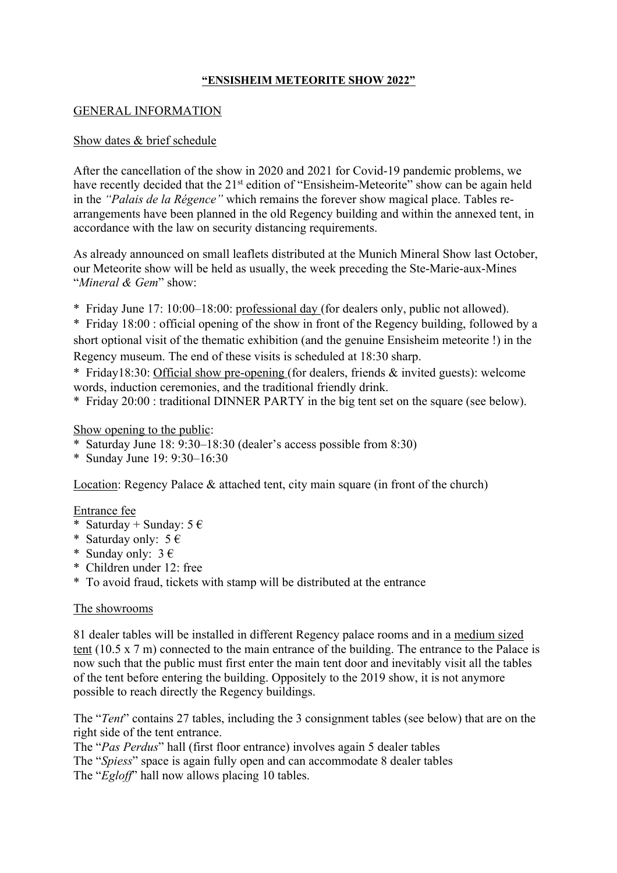### **"ENSISHEIM METEORITE SHOW 2022"**

#### GENERAL INFORMATION

### Show dates & brief schedule

After the cancellation of the show in 2020 and 2021 for Covid-19 pandemic problems, we have recently decided that the 21<sup>st</sup> edition of "Ensisheim-Meteorite" show can be again held in the *"Palais de la Régence"* which remains the forever show magical place. Tables rearrangements have been planned in the old Regency building and within the annexed tent, in accordance with the law on security distancing requirements.

As already announced on small leaflets distributed at the Munich Mineral Show last October, our Meteorite show will be held as usually, the week preceding the Ste-Marie-aux-Mines "*Mineral & Gem*" show:

\* Friday June 17: 10:00–18:00: professional day (for dealers only, public not allowed).

\* Friday 18:00 : official opening of the show in front of the Regency building, followed by a short optional visit of the thematic exhibition (and the genuine Ensisheim meteorite !) in the Regency museum. The end of these visits is scheduled at 18:30 sharp.

\* Friday18:30: Official show pre-opening (for dealers, friends & invited guests): welcome words, induction ceremonies, and the traditional friendly drink.

\* Friday 20:00 : traditional DINNER PARTY in the big tent set on the square (see below).

# Show opening to the public:

- \* Saturday June 18: 9:30–18:30 (dealer's access possible from 8:30)
- \* Sunday June 19: 9:30–16:30

Location: Regency Palace & attached tent, city main square (in front of the church)

#### Entrance fee

- \* Saturday + Sunday:  $5 \in$
- \* Saturday only:  $5 \in$
- \* Sunday only:  $3 \in$
- \* Children under 12: free
- \* To avoid fraud, tickets with stamp will be distributed at the entrance

#### The showrooms

81 dealer tables will be installed in different Regency palace rooms and in a medium sized tent (10.5 x 7 m) connected to the main entrance of the building. The entrance to the Palace is now such that the public must first enter the main tent door and inevitably visit all the tables of the tent before entering the building. Oppositely to the 2019 show, it is not anymore possible to reach directly the Regency buildings.

The "*Tent*" contains 27 tables, including the 3 consignment tables (see below) that are on the right side of the tent entrance.

The "*Pas Perdus*" hall (first floor entrance) involves again 5 dealer tables The "*Spiess*" space is again fully open and can accommodate 8 dealer tables The "*Egloff*" hall now allows placing 10 tables.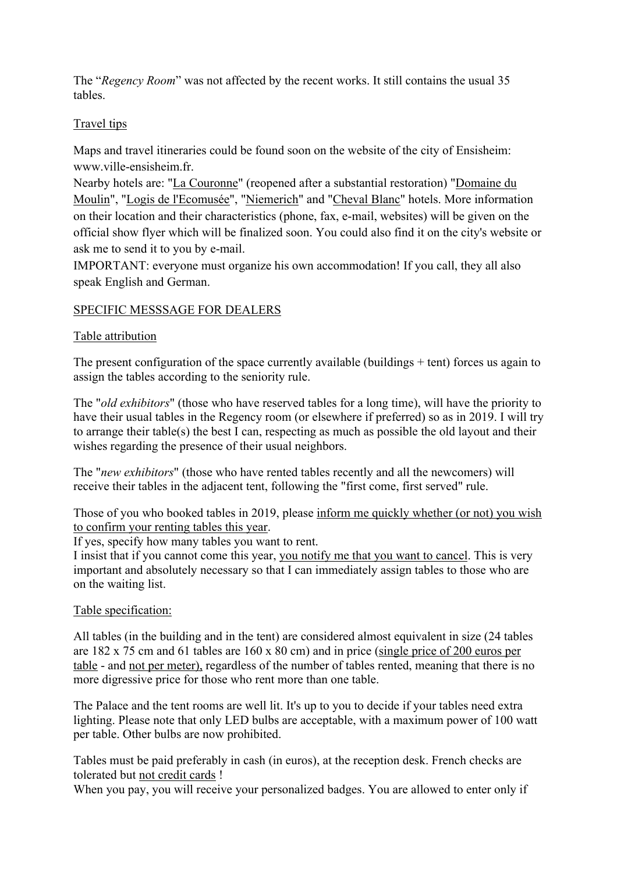The "*Regency Room*" was not affected by the recent works. It still contains the usual 35 tables.

# Travel tips

Maps and travel itineraries could be found soon on the website of the city of Ensisheim: www.ville-ensisheim.fr.

Nearby hotels are: "La Couronne" (reopened after a substantial restoration) "Domaine du Moulin", "Logis de l'Ecomusée", "Niemerich" and "Cheval Blanc" hotels. More information on their location and their characteristics (phone, fax, e-mail, websites) will be given on the official show flyer which will be finalized soon. You could also find it on the city's website or ask me to send it to you by e-mail.

IMPORTANT: everyone must organize his own accommodation! If you call, they all also speak English and German.

# SPECIFIC MESSSAGE FOR DEALERS

# Table attribution

The present configuration of the space currently available (buildings  $+$  tent) forces us again to assign the tables according to the seniority rule.

The "*old exhibitors*" (those who have reserved tables for a long time), will have the priority to have their usual tables in the Regency room (or elsewhere if preferred) so as in 2019. I will try to arrange their table(s) the best I can, respecting as much as possible the old layout and their wishes regarding the presence of their usual neighbors.

The "*new exhibitors*" (those who have rented tables recently and all the newcomers) will receive their tables in the adjacent tent, following the "first come, first served" rule.

Those of you who booked tables in 2019, please inform me quickly whether (or not) you wish to confirm your renting tables this year.

If yes, specify how many tables you want to rent.

I insist that if you cannot come this year, you notify me that you want to cancel. This is very important and absolutely necessary so that I can immediately assign tables to those who are on the waiting list.

#### Table specification:

All tables (in the building and in the tent) are considered almost equivalent in size (24 tables are 182 x 75 cm and 61 tables are 160 x 80 cm) and in price (single price of 200 euros per table - and not per meter), regardless of the number of tables rented, meaning that there is no more digressive price for those who rent more than one table.

The Palace and the tent rooms are well lit. It's up to you to decide if your tables need extra lighting. Please note that only LED bulbs are acceptable, with a maximum power of 100 watt per table. Other bulbs are now prohibited.

Tables must be paid preferably in cash (in euros), at the reception desk. French checks are tolerated but not credit cards !

When you pay, you will receive your personalized badges. You are allowed to enter only if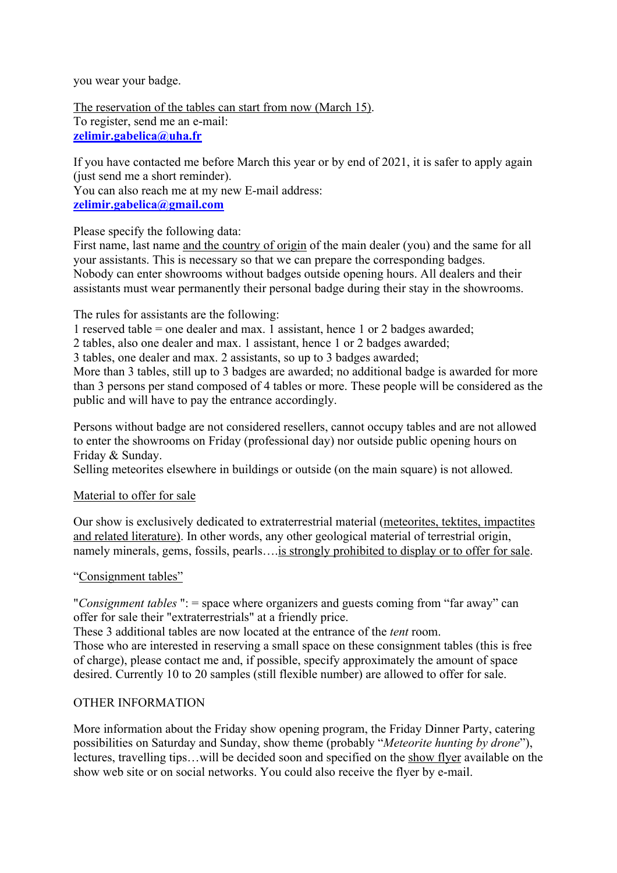you wear your badge.

The reservation of the tables can start from now (March 15). To register, send me an e-mail: **zelimir.gabelica@uha.fr**

If you have contacted me before March this year or by end of 2021, it is safer to apply again (just send me a short reminder). You can also reach me at my new E-mail address: **zelimir.gabelica@gmail.com**

Please specify the following data:

First name, last name and the country of origin of the main dealer (you) and the same for all your assistants. This is necessary so that we can prepare the corresponding badges. Nobody can enter showrooms without badges outside opening hours. All dealers and their assistants must wear permanently their personal badge during their stay in the showrooms.

The rules for assistants are the following:

1 reserved table = one dealer and max. 1 assistant, hence 1 or 2 badges awarded;

2 tables, also one dealer and max. 1 assistant, hence 1 or 2 badges awarded;

3 tables, one dealer and max. 2 assistants, so up to 3 badges awarded;

More than 3 tables, still up to 3 badges are awarded; no additional badge is awarded for more than 3 persons per stand composed of 4 tables or more. These people will be considered as the public and will have to pay the entrance accordingly.

Persons without badge are not considered resellers, cannot occupy tables and are not allowed to enter the showrooms on Friday (professional day) nor outside public opening hours on Friday & Sunday.

Selling meteorites elsewhere in buildings or outside (on the main square) is not allowed.

#### Material to offer for sale

Our show is exclusively dedicated to extraterrestrial material (meteorites, tektites, impactites and related literature). In other words, any other geological material of terrestrial origin, namely minerals, gems, fossils, pearls….is strongly prohibited to display or to offer for sale.

# "Consignment tables"

"*Consignment tables* ": = space where organizers and guests coming from "far away" can offer for sale their "extraterrestrials" at a friendly price.

These 3 additional tables are now located at the entrance of the *tent* room.

Those who are interested in reserving a small space on these consignment tables (this is free of charge), please contact me and, if possible, specify approximately the amount of space desired. Currently 10 to 20 samples (still flexible number) are allowed to offer for sale.

# OTHER INFORMATION

More information about the Friday show opening program, the Friday Dinner Party, catering possibilities on Saturday and Sunday, show theme (probably "*Meteorite hunting by drone*"), lectures, travelling tips…will be decided soon and specified on the show flyer available on the show web site or on social networks. You could also receive the flyer by e-mail.